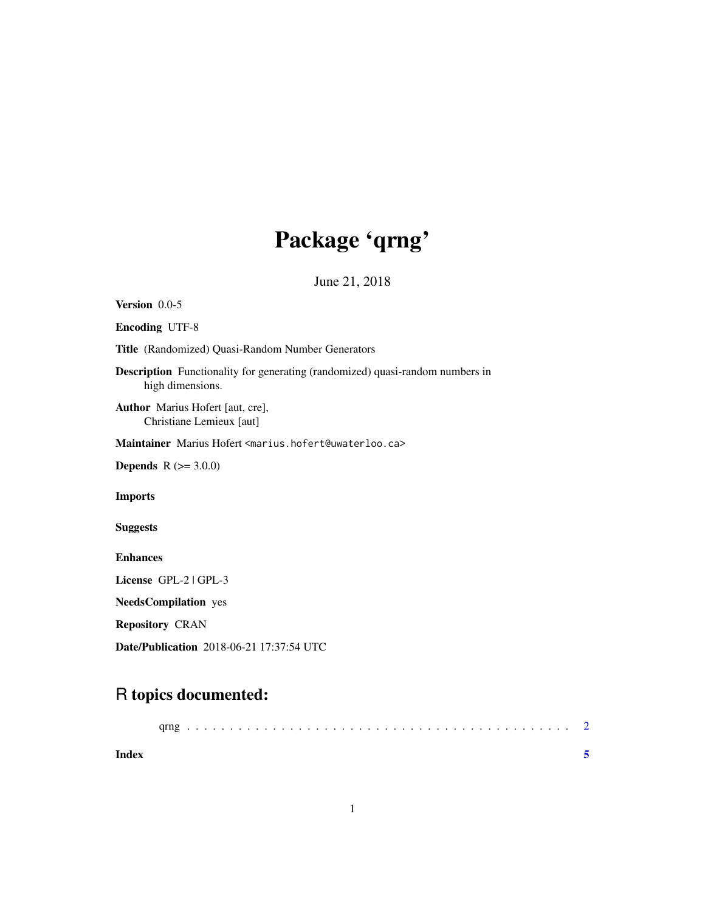## Package 'qrng'

June 21, 2018

<span id="page-0-0"></span>Version 0.0-5 Encoding UTF-8 Title (Randomized) Quasi-Random Number Generators Description Functionality for generating (randomized) quasi-random numbers in high dimensions. Author Marius Hofert [aut, cre], Christiane Lemieux [aut] Maintainer Marius Hofert <marius.hofert@uwaterloo.ca> **Depends**  $R$  ( $>= 3.0.0$ ) Imports Suggests Enhances License GPL-2 | GPL-3 NeedsCompilation yes Repository CRAN Date/Publication 2018-06-21 17:37:54 UTC

### R topics documented:

| Index |  |  |  |  |  |  |  |  |  |  |  |  |  |  |  |  |  |  |
|-------|--|--|--|--|--|--|--|--|--|--|--|--|--|--|--|--|--|--|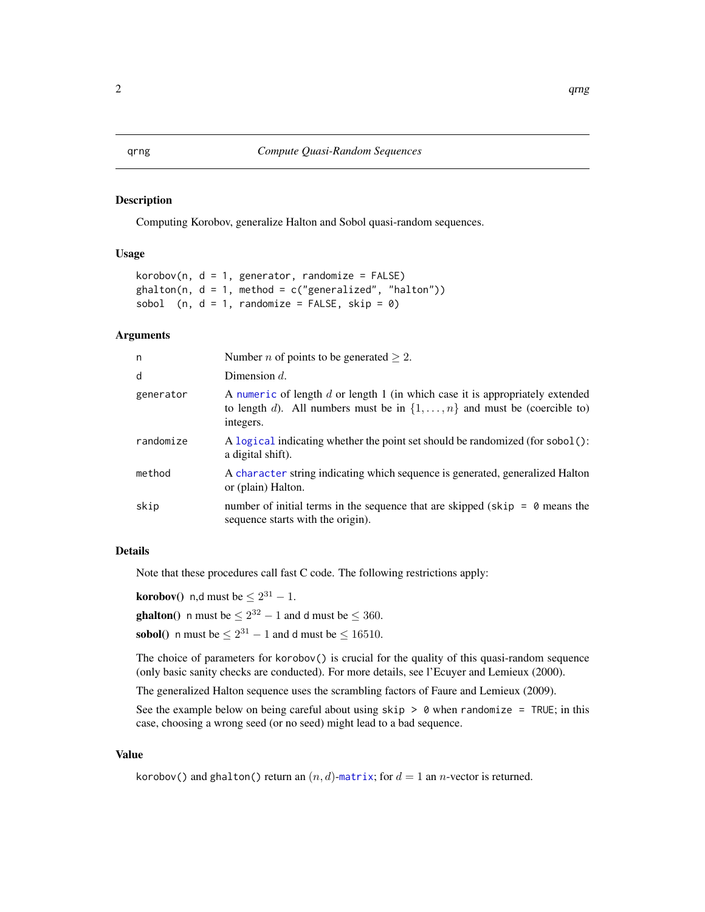#### <span id="page-1-0"></span>Description

Computing Korobov, generalize Halton and Sobol quasi-random sequences.

#### Usage

```
korobov(n, d = 1, generator, randomize = FALSE)ghalton(n, d = 1, method = c("generalized", "halton"))sobol (n, d = 1, randomize = FALSE, skip = 0)
```
### Arguments

| n         | Number <i>n</i> of points to be generated $\geq 2$ .                                                                                                                             |
|-----------|----------------------------------------------------------------------------------------------------------------------------------------------------------------------------------|
| d         | Dimension $d$ .                                                                                                                                                                  |
| generator | A numeric of length d or length 1 (in which case it is appropriately extended<br>to length d). All numbers must be in $\{1, \ldots, n\}$ and must be (coercible to)<br>integers. |
| randomize | A logical indicating whether the point set should be randomized (for sobol():<br>a digital shift).                                                                               |
| method    | A character string indicating which sequence is generated, generalized Halton<br>or (plain) Halton.                                                                              |
| skip      | number of initial terms in the sequence that are skipped ( $skip = \theta$ means the<br>sequence starts with the origin).                                                        |

#### Details

Note that these procedures call fast C code. The following restrictions apply:

**korobov**() n,d must be  $\leq 2^{31} - 1$ .

**ghalton**() n must be  $\leq 2^{32} - 1$  and d must be  $\leq 360$ .

**sobol**() n must be  $\leq 2^{31} - 1$  and d must be  $\leq 16510$ .

The choice of parameters for korobov() is crucial for the quality of this quasi-random sequence (only basic sanity checks are conducted). For more details, see l'Ecuyer and Lemieux (2000).

The generalized Halton sequence uses the scrambling factors of Faure and Lemieux (2009).

See the example below on being careful about using  $skip > 0$  when randomize = TRUE; in this case, choosing a wrong seed (or no seed) might lead to a bad sequence.

#### Value

korobov() and ghalton() return an  $(n, d)$ -[matrix](#page-0-0); for  $d = 1$  an *n*-vector is returned.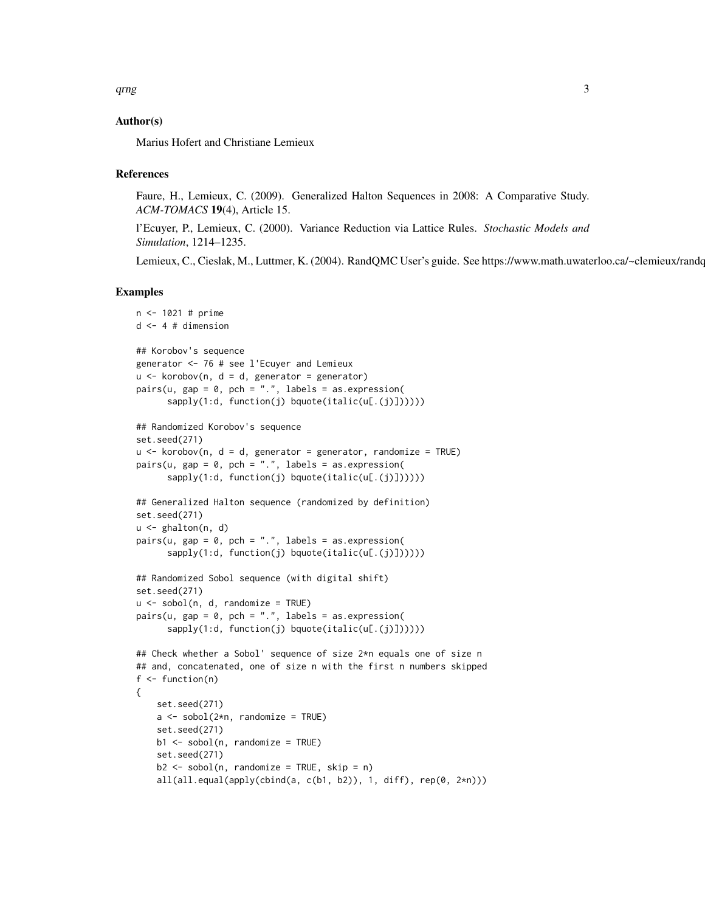#### Author(s)

Marius Hofert and Christiane Lemieux

#### References

Faure, H., Lemieux, C. (2009). Generalized Halton Sequences in 2008: A Comparative Study. *ACM-TOMACS* 19(4), Article 15.

l'Ecuyer, P., Lemieux, C. (2000). Variance Reduction via Lattice Rules. *Stochastic Models and Simulation*, 1214–1235.

Lemieux, C., Cieslak, M., Luttmer, K. (2004). RandQMC User's guide. See https://www.math.uwaterloo.ca/~clemieux/randc

#### Examples

```
n <- 1021 # prime
d \leq -4 # dimension
## Korobov's sequence
generator <- 76 # see l'Ecuyer and Lemieux
u \le -korobov(n, d = d, generator = generator)
pairs(u, gap = 0, pch = ".", labels = as.expression(
      sapply(1:d, function(j) bquote(italic(u[.(j)])))))
## Randomized Korobov's sequence
set.seed(271)
u \le -korobov(n, d = d, generator = generator, randomize = TRUE)
pairs(u, gap = 0, pch = ".", labels = as.expression(
      sapply(1:d, function(j) bquote(italic(u[.(j)])))))
## Generalized Halton sequence (randomized by definition)
set.seed(271)
u \leq - ghalton(n, d)
pairs(u, gap = 0, pch = ".", labels = as.expression(
      sapply(1:d, function(j) bquote( italic(u[, (j)]))))## Randomized Sobol sequence (with digital shift)
set.seed(271)
u \le -\text{sobol}(n, d, \text{randomize} = \text{TRUE})pairs(u, gap = 0, pch = ".", labels = as.expression(
      sapply(1:d, function(j) bquote(italic(u[.(j)])))))
## Check whether a Sobol' sequence of size 2*n equals one of size n
## and, concatenated, one of size n with the first n numbers skipped
f \leftarrow function(n){
    set.seed(271)
    a \leq - sobol(2*n, randomize = TRUE)
    set.seed(271)
   b1 <- sobol(n, randomize = TRUE)
    set.seed(271)
    b2 \le -\text{sobol}(n, \text{randomize} = \text{TRUE}, \text{skip} = n)all(all.equal(apply(cbind(a, c(b1, b2)), 1, diff), rep(0, 2*n)))
```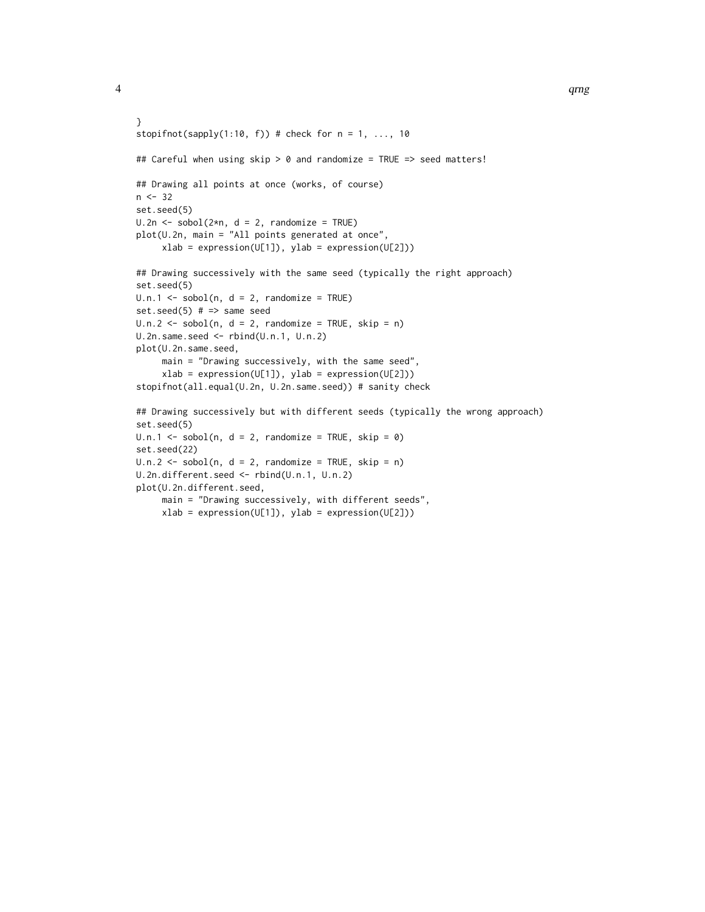```
}
stopifnot(sapply(1:10, f)) # check for n = 1, ..., 10## Careful when using skip > 0 and randomize = TRUE => seed matters!
## Drawing all points at once (works, of course)
n < -32set.seed(5)
U.2n \leq Sobel(2*n, d = 2, randomize = TRUE)plot(U.2n, main = "All points generated at once",
     xlab = expression(U[1]), ylab = expression(U[2]))## Drawing successively with the same seed (typically the right approach)
set.seed(5)
U.n.1 \leftarrow sobol(n, d = 2, randomize = TRUE)set.seed(5) # => same seed
U.n.2 \leq -sobol(n, d = 2, randomize = TRUE, skip = n)U.2n.same.seed <- rbind(U.n.1, U.n.2)
plot(U.2n.same.seed,
     main = "Drawing successively, with the same seed",
     xlab = expression(U[1]), ylab = expression(U[2]))stopifnot(all.equal(U.2n, U.2n.same.seed)) # sanity check
## Drawing successively but with different seeds (typically the wrong approach)
set.seed(5)
U.n.1 \leq Sobel(n, d = 2, randomize = TRUE, skip = 0)set.seed(22)
U.n.2 \leq sobol(n, d = 2, randomize = TRUE, skip = n)
U.2n.different.seed <- rbind(U.n.1, U.n.2)
plot(U.2n.different.seed,
    main = "Drawing successively, with different seeds",
```

```
xlab = expression(U[1]), ylab = expression(U[2]))
```